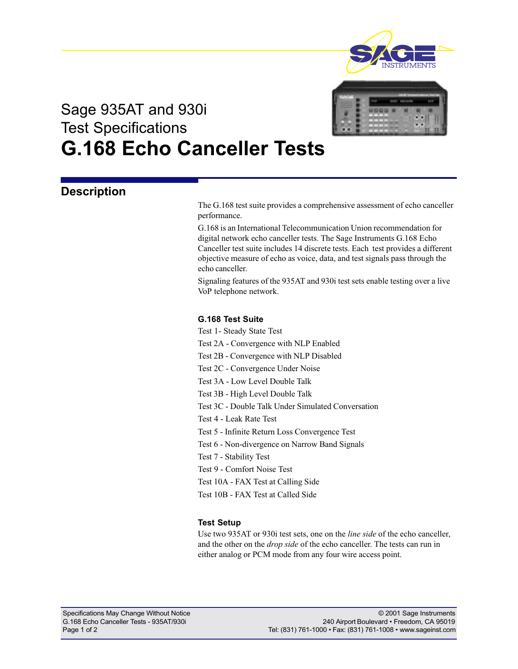

# Sage 935AT and 930i Test Specifications G.168 Echo Canceller Tests

### **Description**

The G.168 test suite provides a comprehensive assessment of echo canceller performance.

G.168 is an International Telecommunication Union recommendation for digital network echo canceller tests. The Sage Instruments G.168 Echo Canceller test suite includes 14 discrete tests. Each test provides a different objective measure of echo as voice, data, and test signals pass through the echo canceller.

Signaling features of the 935AT and 930i test sets enable testing over a live VoP telephone network.

#### G.168 Test Suite

Test 1- Steady State Test

- Test 2A Convergence with NLP Enabled
- Test 2B Convergence with NLP Disabled
- Test 2C Convergence Under Noise
- Test 3A Low Level Double Talk
- Test 3B High Level Double Talk
- Test 3C Double Talk Under Simulated Conversation
- Test 4 Leak Rate Test
- Test 5 Infinite Return Loss Convergence Test
- Test 6 Non-divergence on Narrow Band Signals
- Test 7 Stability Test
- Test 9 Comfort Noise Test
- Test 10A FAX Test at Calling Side
- Test 10B FAX Test at Called Side

#### Test Setup

Use two 935AT or 930i test sets, one on the line side of the echo canceller, and the other on the *drop side* of the echo canceller. The tests can run in either analog or PCM mode from any four wire access point.